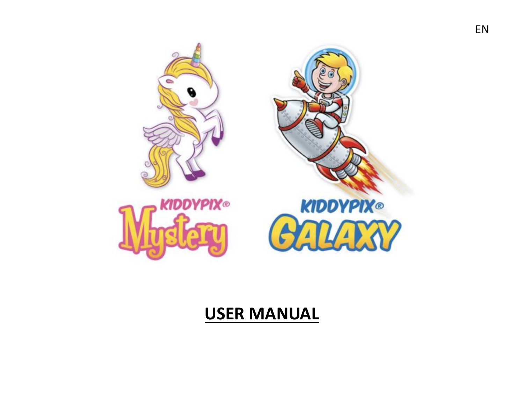# **KIDDYPIX® KIDDYPIX®** m H

## **USER MANUAL**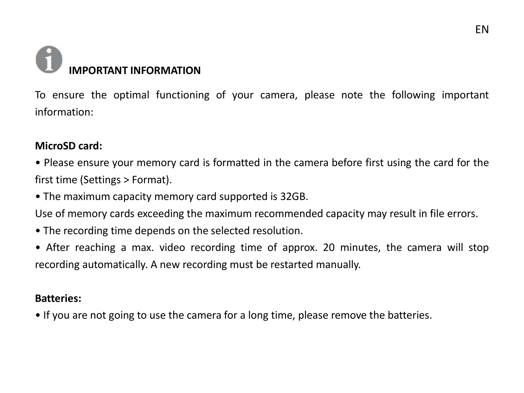# **IMPORTANT INFORMATION**

To ensure the optimal functioning of your camera, please note the following important information:

#### **MicroSD card:**

- Please ensure your memory card is formatted in the camera before first using the card for the first time (Settings > Format).
- The maximum capacity memory card supported is 32GB.
- Use of memory cards exceeding the maximum recommended capacity may result in file errors.
- The recording time depends on the selected resolution.
- After reaching a max. video recording time of approx. 20 minutes, the camera will stop recording automatically. A new recording must be restarted manually.

#### **Batteries:**

• If you are not going to use the camera for a long time, please remove the batteries.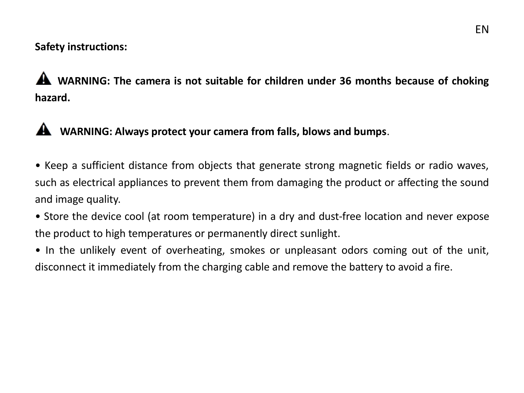#### **Safety instructions:**

**WARNING: The camera is not suitable for children under 36 months because of choking hazard.**

### **WARNING: Always protect your camera from falls, blows and bumps**.

- Keep a sufficient distance from objects that generate strong magnetic fields or radio waves, such as electrical appliances to prevent them from damaging the product or affecting the sound and image quality.
- Store the device cool (at room temperature) in a dry and dust-free location and never expose the product to high temperatures or permanently direct sunlight.
- In the unlikely event of overheating, smokes or unpleasant odors coming out of the unit, disconnect it immediately from the charging cable and remove the battery to avoid a fire.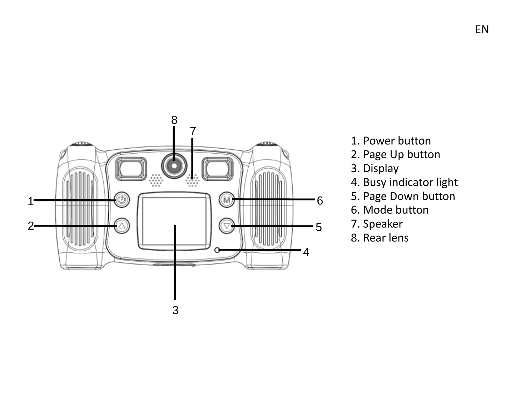

- 1. Power button
- 2. Page Up button
- 3. Display
- 4. Busy indicator light
- 5. Page Down button
- 6. Mode button
- 7. Speaker
- 8. Rear lens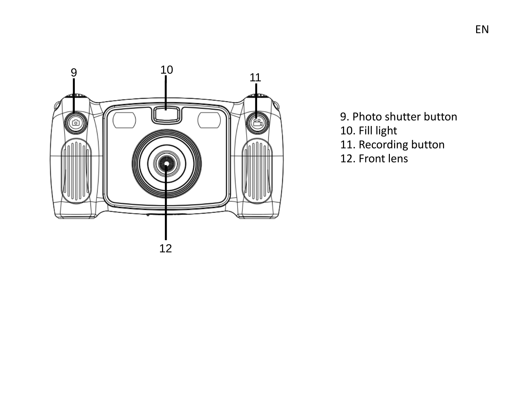

- 9. Photo shutter button
- 10. Fill light
- 11. Recording button
- 12. Front lens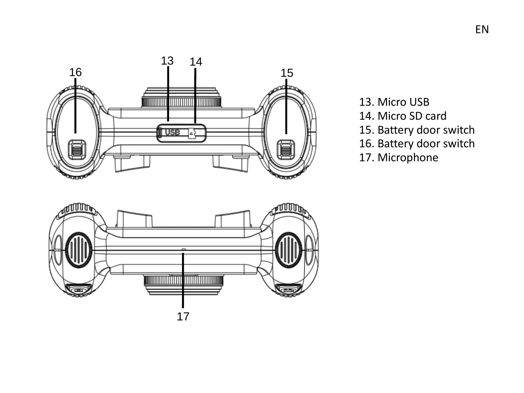

arii 100 <u>mmini mini</u> 17

- 13. Micro USB
- 14. Micro SD card
- 15. Battery door switch
- 16. Battery door switch
- 17. Microphone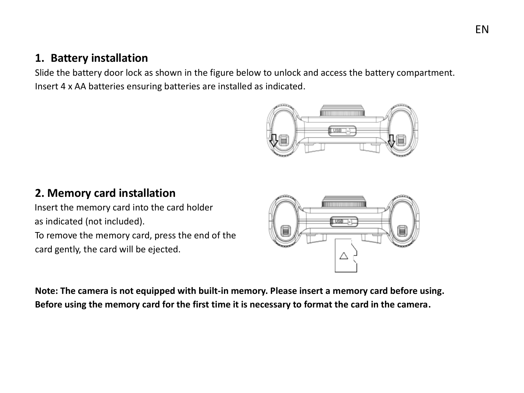#### **1. Battery installation**

Slide the battery door lock as shown in the figure below to unlock and access the battery compartment. Insert 4 x AA batteries ensuring batteries are installed as indicated.



#### **2. Memory card installation**

Insert the memory card into the card holder as indicated (not included).

To remove the memory card, press the end of the card gently, the card will be ejected.



**Note: The camera is not equipped with built-in memory. Please insert a memory card before using. Before using the memory card for the first time it is necessary to format the card in the camera.**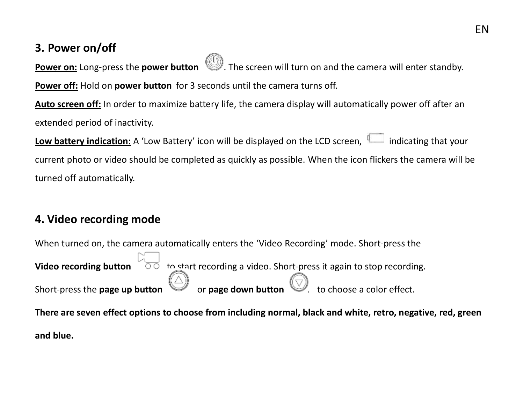#### EN

#### **3. Power on/off**

**Power on:** Long-press the **power button Section** . The screen will turn on and the camera will enter standby.

**Power off:** Hold on **power button** for 3 seconds until the camera turns off.

**Auto screen off:** In order to maximize battery life, the camera display will automatically power off after an extended period of inactivity.

**Low battery indication:** A 'Low Battery' icon will be displayed on the LCD screen. **Indication** that your current photo or video should be completed as quickly as possible. When the icon flickers the camera will be turned off automatically.

#### **4. Video recording mode**

When turned on, the camera automatically enters the 'Video Recording' mode. Short-press the **Video recording button** to start recording a video. Short-press it again to stop recording.  $\mathcal{S}$  Short-press the **page up button**  $\mathcal{O}$  or **page down button**  $\mathcal{O}$  to choose a color effect.

**There are seven effect options to choose from including normal, black and white, retro, negative, red, green and blue.**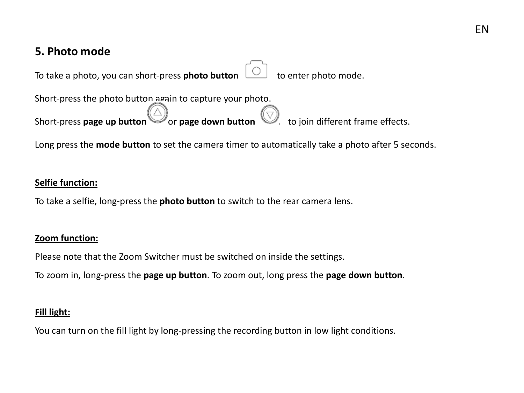#### EN

#### **5. Photo mode**

To take a photo, you can short-press **photo butto**n  $\Box$  to enter photo mode.

Short-press the photo button again to capture your photo.<br>Short-press page up button  $\bigotimes_{\text{or page down button}}$ Short-press **page up button** or **page down button solution** to join different frame effects.

Long press the **mode button** to set the camera timer to automatically take a photo after 5 seconds.

#### **Selfie function:**

To take a selfie, long-press the **photo button** to switch to the rear camera lens.

#### **Zoom function:**

Please note that the Zoom Switcher must be switched on inside the settings.

To zoom in, long-press the **page up button**. To zoom out, long press the **page down button**.

#### **Fill light:**

You can turn on the fill light by long-pressing the recording button in low light conditions.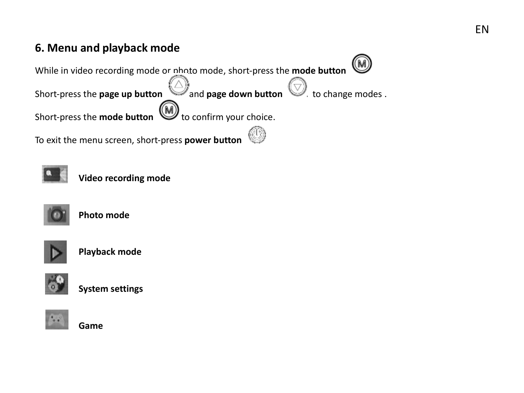#### **6. Menu and playback mode**





**Video recording mode** 



 **Photo mode**



 **Playback mode**



 **System settings**



 **Game**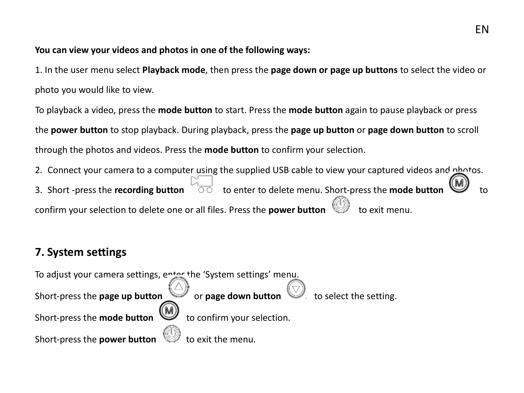**You can view your videos and photos in one of the following ways:**

1. In the user menu select **Playback mode**, then press the **page down or page up buttons** to select the video or photo you would like to view.

To playback a video, press the **mode button** to start. Press the **mode button** again to pause playback or press the **power button** to stop playback. During playback, press the **page up button** or **page down button** to scroll through the photos and videos. Press the **mode button** to confirm your selection.

2. Connect your camera to a computer using the supplied USB cable to view your captured videos and nh tos. 3. Short -press the **recording button**  $\overline{0}$  to enter to delete menu. Short-press the **mode butto** confirm your selection to delete one or all files. Press the **power button** 

#### **7. System settings**

To adjust your camera settings, enter the 'System settings' menu. Short-press the **page up button** or **page down button** Short-press the **mode button the state of the confirm your selection.** Short-press the **power button**  $\mathbb{W}$  to exit the menu.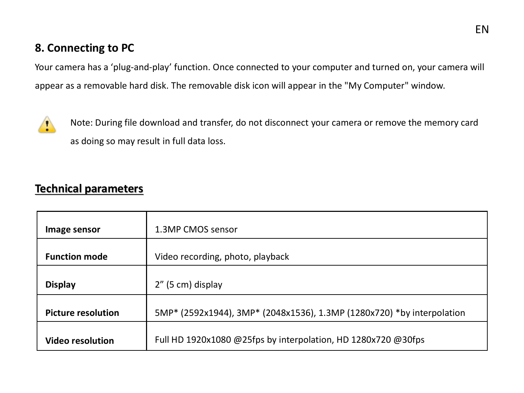#### **8. Connecting to PC**

Your camera has a 'plug-and-play' function. Once connected to your computer and turned on, your camera will appear as a removable hard disk. The removable disk icon will appear in the "My Computer" window.



Note: During file download and transfer, do not disconnect your camera or remove the memory card as doing so may result in full data loss.

#### **Technical parameters**

| Image sensor              | 1.3MP CMOS sensor                                                      |
|---------------------------|------------------------------------------------------------------------|
| <b>Function mode</b>      | Video recording, photo, playback                                       |
| Display                   | 2" (5 cm) display                                                      |
| <b>Picture resolution</b> | 5MP* (2592x1944), 3MP* (2048x1536), 1.3MP (1280x720) *by interpolation |
| <b>Video resolution</b>   | Full HD 1920x1080 @25fps by interpolation, HD 1280x720 @30fps          |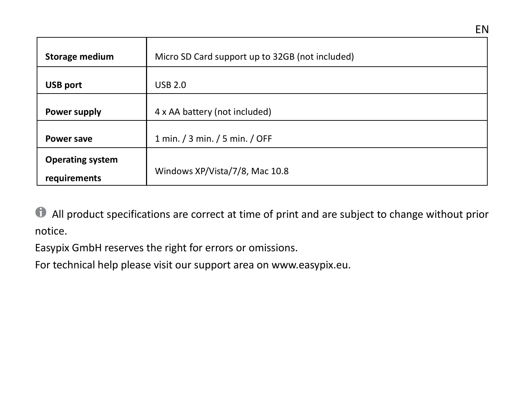| Storage medium                          | Micro SD Card support up to 32GB (not included) |
|-----------------------------------------|-------------------------------------------------|
| <b>USB port</b>                         | USB 2.0                                         |
| Power supply                            | 4 x AA battery (not included)                   |
| Power save                              | 1 min. / 3 min. / 5 min. / OFF                  |
| <b>Operating system</b><br>requirements | Windows XP/Vista/7/8, Mac 10.8                  |

All product specifications are correct at time of print and are subject to change without prior notice.

Easypix GmbH reserves the right for errors or omissions.

For technical help please visit our support area on www.easypix.eu.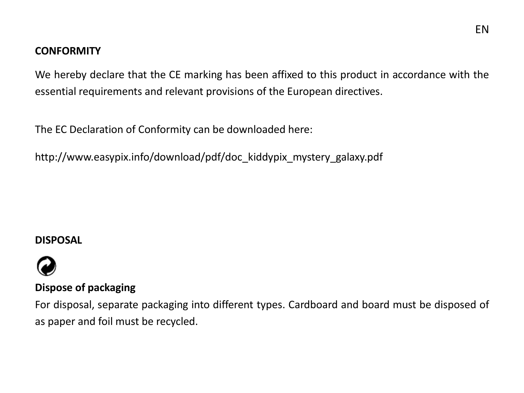#### **CONFORMITY**

We hereby declare that the CE marking has been affixed to this product in accordance with the essential requirements and relevant provisions of the European directives.

The EC Declaration of Conformity can be downloaded here:

http://www.easypix.info/download/pdf/doc\_kiddypix\_mystery\_galaxy.pdf

#### **DISPOSAL**



#### **Dispose of packaging**

For disposal, separate packaging into different types. Cardboard and board must be disposed of as paper and foil must be recycled.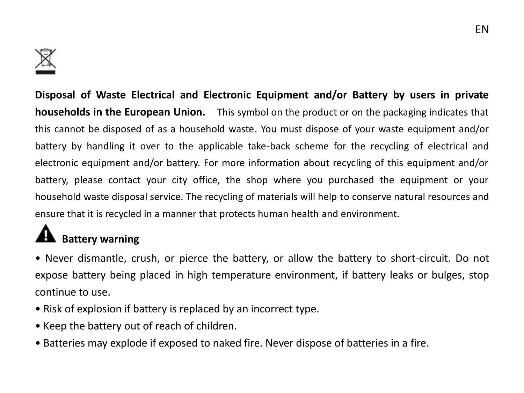

**Disposal of Waste Electrical and Electronic Equipment and/or Battery by users in private households in the European Union.** This symbol on the product or on the packaging indicates that this cannot be disposed of as a household waste. You must dispose of your waste equipment and/or battery by handling it over to the applicable take-back scheme for the recycling of electrical and electronic equipment and/or battery. For more information about recycling of this equipment and/or battery, please contact your city office, the shop where you purchased the equipment or your household waste disposal service. The recycling of materials will help to conserve natural resources and ensure that it is recycled in a manner that protects human health and environment.

# **Battery warning**

• Never dismantle, crush, or pierce the battery, or allow the battery to short-circuit. Do not expose battery being placed in high temperature environment, if battery leaks or bulges, stop continue to use.

- Risk of explosion if battery is replaced by an incorrect type.
- Keep the battery out of reach of children.
- Batteries may explode if exposed to naked fire. Never dispose of batteries in a fire.